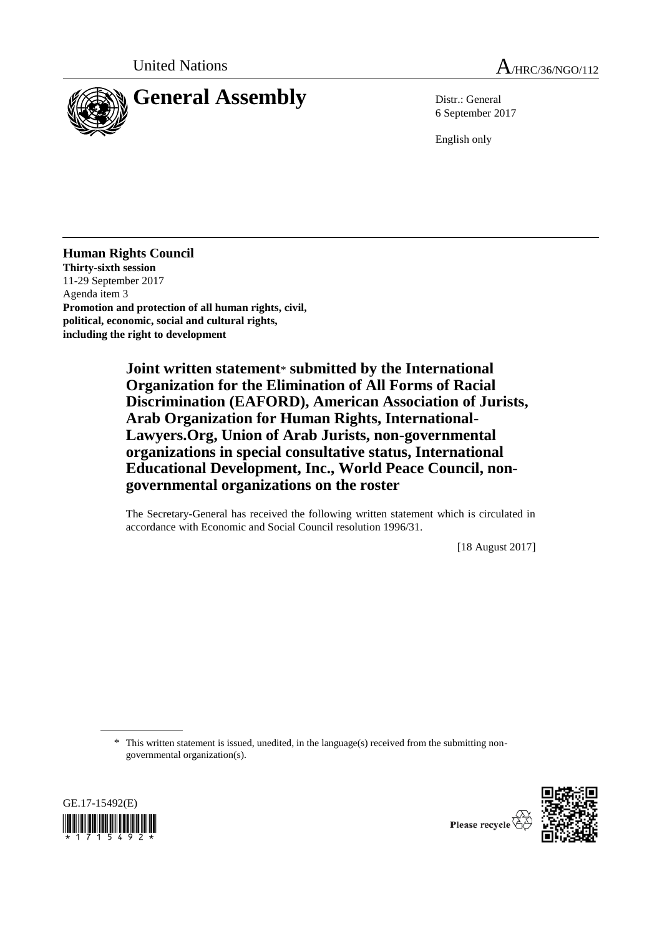



6 September 2017

English only

**Human Rights Council Thirty-sixth session** 11-29 September 2017 Agenda item 3 **Promotion and protection of all human rights, civil, political, economic, social and cultural rights, including the right to development**

> **Joint written statement**\* **submitted by the International Organization for the Elimination of All Forms of Racial Discrimination (EAFORD), American Association of Jurists, Arab Organization for Human Rights, International-Lawyers.Org, Union of Arab Jurists, non-governmental organizations in special consultative status, International Educational Development, Inc., World Peace Council, nongovernmental organizations on the roster**

The Secretary-General has received the following written statement which is circulated in accordance with Economic and Social Council resolution 1996/31.

[18 August 2017]

\* This written statement is issued, unedited, in the language(s) received from the submitting nongovernmental organization(s).





Please recycle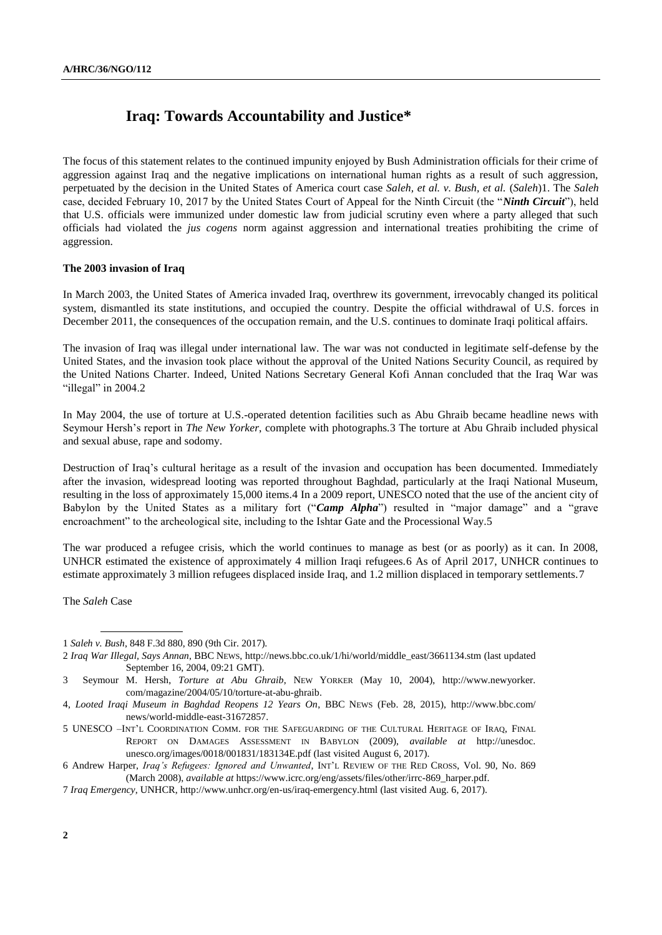# **Iraq: Towards Accountability and Justice\***

The focus of this statement relates to the continued impunity enjoyed by Bush Administration officials for their crime of aggression against Iraq and the negative implications on international human rights as a result of such aggression, perpetuated by the decision in the United States of America court case *Saleh, et al. v. Bush, et al.* (*Saleh*)1. The *Saleh* case, decided February 10, 2017 by the United States Court of Appeal for the Ninth Circuit (the "*Ninth Circuit*"), held that U.S. officials were immunized under domestic law from judicial scrutiny even where a party alleged that such officials had violated the *jus cogens* norm against aggression and international treaties prohibiting the crime of aggression.

# **The 2003 invasion of Iraq**

In March 2003, the United States of America invaded Iraq, overthrew its government, irrevocably changed its political system, dismantled its state institutions, and occupied the country. Despite the official withdrawal of U.S. forces in December 2011, the consequences of the occupation remain, and the U.S. continues to dominate Iraqi political affairs.

The invasion of Iraq was illegal under international law. The war was not conducted in legitimate self-defense by the United States, and the invasion took place without the approval of the United Nations Security Council, as required by the United Nations Charter. Indeed, United Nations Secretary General Kofi Annan concluded that the Iraq War was "illegal" in 2004.2

In May 2004, the use of torture at U.S.-operated detention facilities such as Abu Ghraib became headline news with Seymour Hersh's report in *The New Yorker*, complete with photographs.3 The torture at Abu Ghraib included physical and sexual abuse, rape and sodomy.

Destruction of Iraq's cultural heritage as a result of the invasion and occupation has been documented. Immediately after the invasion, widespread looting was reported throughout Baghdad, particularly at the Iraqi National Museum, resulting in the loss of approximately 15,000 items.4 In a 2009 report, UNESCO noted that the use of the ancient city of Babylon by the United States as a military fort ("*Camp Alpha*") resulted in "major damage" and a "grave encroachment" to the archeological site, including to the Ishtar Gate and the Processional Way.5

The war produced a refugee crisis, which the world continues to manage as best (or as poorly) as it can. In 2008, UNHCR estimated the existence of approximately 4 million Iraqi refugees.6 As of April 2017, UNHCR continues to estimate approximately 3 million refugees displaced inside Iraq, and 1.2 million displaced in temporary settlements.7

The *Saleh* Case

<sup>1</sup> *Saleh v. Bush*, 848 F.3d 880, 890 (9th Cir. 2017).

<sup>2</sup> *Iraq War Illegal, Says Annan*, BBC NEWS[, http://news.bbc.co.uk/1/hi/world/middle\\_east/3661134.stm](http://news.bbc.co.uk/1/hi/world/middle_east/3661134.stm) (last updated September 16, 2004, 09:21 GMT).

<sup>3</sup> Seymour M. Hersh, *Torture at Abu Ghraib*, NEW YORKER (May 10, 2004), [http://www.newyorker.](http://www.newyorker.com/magazine/2004/05/10/torture-at-abu-ghraib) [com/magazine/2004/05/10/torture-at-abu-ghraib.](http://www.newyorker.com/magazine/2004/05/10/torture-at-abu-ghraib)

<sup>4,</sup> *Looted Iraqi Museum in Baghdad Reopens 12 Years On*, BBC NEWS (Feb. 28, 2015), [http://www.bbc.com/](http://www.bbc.com/‌news/world-middle-east-31672857) [news/world-middle-east-31672857.](http://www.bbc.com/‌news/world-middle-east-31672857)

<sup>5</sup> UNESCO –INT'L COORDINATION COMM. FOR THE SAFEGUARDING OF THE CULTURAL HERITAGE OF IRAQ, FINAL REPORT ON DAMAGES ASSESSMENT IN BABYLON (2009), *available at* [http://unesdoc.](http://unesdoc.unesco.org/images/0018/001831/183134E.pdf) [unesco.org/images/0018/001831/183134E.pdf](http://unesdoc.unesco.org/images/0018/001831/183134E.pdf) (last visited August 6, 2017).

<sup>6</sup> Andrew Harper, *Iraq's Refugees: Ignored and Unwanted*, INT'L REVIEW OF THE RED CROSS, Vol. 90, No. 869 (March 2008), *available at* [https://www.icrc.org/eng/assets/files/other/irrc-869\\_harper.pdf.](https://www.icrc.org/eng/assets/files/other/irrc-869_harper.pdf)

<sup>7</sup> *Iraq Emergency*, UNHCR,<http://www.unhcr.org/en-us/iraq-emergency.html> (last visited Aug. 6, 2017).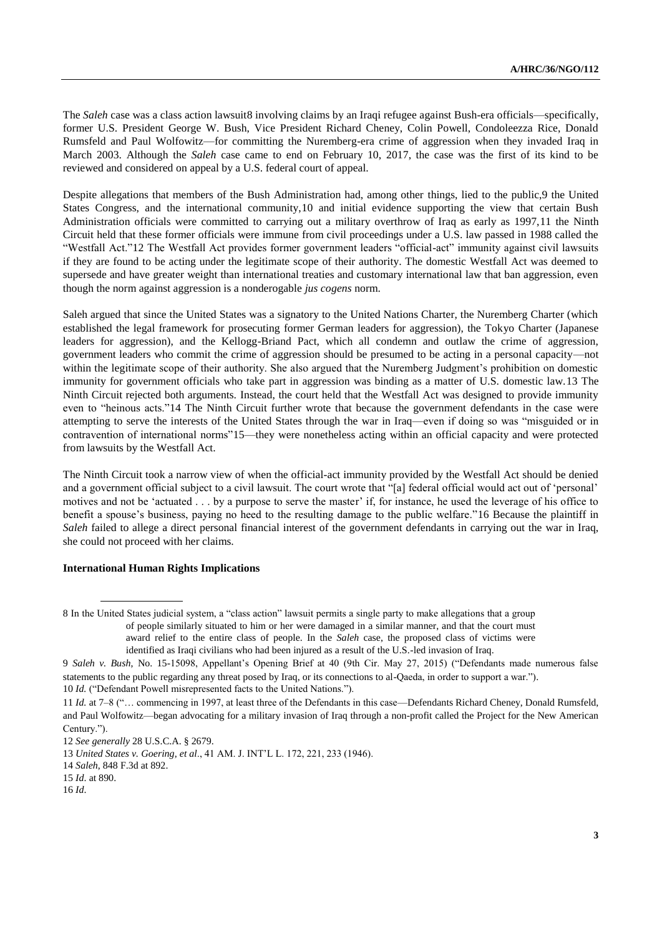The *Saleh* case was a class action lawsuit8 involving claims by an Iraqi refugee against Bush-era officials—specifically, former U.S. President George W. Bush, Vice President Richard Cheney, Colin Powell, Condoleezza Rice, Donald Rumsfeld and Paul Wolfowitz—for committing the Nuremberg-era crime of aggression when they invaded Iraq in March 2003. Although the *Saleh* case came to end on February 10, 2017, the case was the first of its kind to be reviewed and considered on appeal by a U.S. federal court of appeal.

Despite allegations that members of the Bush Administration had, among other things, lied to the public,9 the United States Congress, and the international community,10 and initial evidence supporting the view that certain Bush Administration officials were committed to carrying out a military overthrow of Iraq as early as 1997,11 the Ninth Circuit held that these former officials were immune from civil proceedings under a U.S. law passed in 1988 called the "Westfall Act."12 The Westfall Act provides former government leaders "official-act" immunity against civil lawsuits if they are found to be acting under the legitimate scope of their authority. The domestic Westfall Act was deemed to supersede and have greater weight than international treaties and customary international law that ban aggression, even though the norm against aggression is a nonderogable *jus cogens* norm.

Saleh argued that since the United States was a signatory to the United Nations Charter, the Nuremberg Charter (which established the legal framework for prosecuting former German leaders for aggression), the Tokyo Charter (Japanese leaders for aggression), and the Kellogg-Briand Pact, which all condemn and outlaw the crime of aggression, government leaders who commit the crime of aggression should be presumed to be acting in a personal capacity—not within the legitimate scope of their authority. She also argued that the Nuremberg Judgment's prohibition on domestic immunity for government officials who take part in aggression was binding as a matter of U.S. domestic law.13 The Ninth Circuit rejected both arguments. Instead, the court held that the Westfall Act was designed to provide immunity even to "heinous acts."14 The Ninth Circuit further wrote that because the government defendants in the case were attempting to serve the interests of the United States through the war in Iraq—even if doing so was "misguided or in contravention of international norms"15—they were nonetheless acting within an official capacity and were protected from lawsuits by the Westfall Act.

The Ninth Circuit took a narrow view of when the official-act immunity provided by the Westfall Act should be denied and a government official subject to a civil lawsuit. The court wrote that "[a] federal official would act out of 'personal' motives and not be 'actuated . . . by a purpose to serve the master' if, for instance, he used the leverage of his office to benefit a spouse's business, paying no heed to the resulting damage to the public welfare."16 Because the plaintiff in *Saleh* failed to allege a direct personal financial interest of the government defendants in carrying out the war in Iraq, she could not proceed with her claims.

# **International Human Rights Implications**

<sup>8</sup> In the United States judicial system, a "class action" lawsuit permits a single party to make allegations that a group of people similarly situated to him or her were damaged in a similar manner, and that the court must award relief to the entire class of people. In the *Saleh* case, the proposed class of victims were identified as Iraqi civilians who had been injured as a result of the U.S.-led invasion of Iraq.

<sup>9</sup> *Saleh v. Bush*, No. 15-15098, Appellant's Opening Brief at 40 (9th Cir. May 27, 2015) ("Defendants made numerous false statements to the public regarding any threat posed by Iraq, or its connections to al-Qaeda, in order to support a war."). 10 *Id.* ("Defendant Powell misrepresented facts to the United Nations.").

<sup>11</sup> *Id.* at 7–8 ("… commencing in 1997, at least three of the Defendants in this case—Defendants Richard Cheney, Donald Rumsfeld, and Paul Wolfowitz—began advocating for a military invasion of Iraq through a non-profit called the Project for the New American Century.").

<sup>12</sup> *See generally* 28 U.S.C.A. § 2679.

<sup>13</sup> *United States v. Goering*, *et al*., 41 AM. J. INT'L L. 172, 221, 233 (1946).

<sup>14</sup> *Saleh*, 848 F.3d at 892.

<sup>15</sup> *Id*. at 890.

<sup>16</sup> *Id*.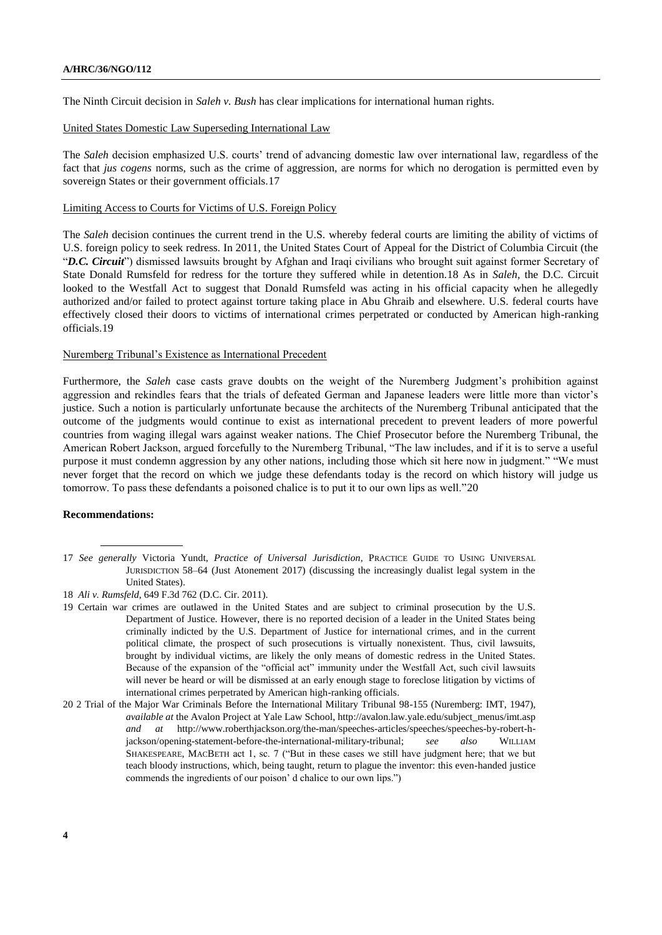The Ninth Circuit decision in *Saleh v. Bush* has clear implications for international human rights.

## United States Domestic Law Superseding International Law

The *Saleh* decision emphasized U.S. courts' trend of advancing domestic law over international law, regardless of the fact that *jus cogens* norms, such as the crime of aggression, are norms for which no derogation is permitted even by sovereign States or their government officials.17

#### Limiting Access to Courts for Victims of U.S. Foreign Policy

The *Saleh* decision continues the current trend in the U.S. whereby federal courts are limiting the ability of victims of U.S. foreign policy to seek redress. In 2011, the United States Court of Appeal for the District of Columbia Circuit (the "*D.C. Circuit*") dismissed lawsuits brought by Afghan and Iraqi civilians who brought suit against former Secretary of State Donald Rumsfeld for redress for the torture they suffered while in detention.18 As in *Saleh*, the D.C. Circuit looked to the Westfall Act to suggest that Donald Rumsfeld was acting in his official capacity when he allegedly authorized and/or failed to protect against torture taking place in Abu Ghraib and elsewhere. U.S. federal courts have effectively closed their doors to victims of international crimes perpetrated or conducted by American high-ranking officials.19

#### Nuremberg Tribunal's Existence as International Precedent

Furthermore, the *Saleh* case casts grave doubts on the weight of the Nuremberg Judgment's prohibition against aggression and rekindles fears that the trials of defeated German and Japanese leaders were little more than victor's justice. Such a notion is particularly unfortunate because the architects of the Nuremberg Tribunal anticipated that the outcome of the judgments would continue to exist as international precedent to prevent leaders of more powerful countries from waging illegal wars against weaker nations. The Chief Prosecutor before the Nuremberg Tribunal, the American Robert Jackson, argued forcefully to the Nuremberg Tribunal, "The law includes, and if it is to serve a useful purpose it must condemn aggression by any other nations, including those which sit here now in judgment." "We must never forget that the record on which we judge these defendants today is the record on which history will judge us tomorrow. To pass these defendants a poisoned chalice is to put it to our own lips as well."20

## **Recommendations:**

<sup>17</sup> *See generally* Victoria Yundt, *Practice of Universal Jurisdiction*, PRACTICE GUIDE TO USING UNIVERSAL JURISDICTION 58–64 (Just Atonement 2017) (discussing the increasingly dualist legal system in the United States).

<sup>18</sup> *Ali v. Rumsfeld*, 649 F.3d 762 (D.C. Cir. 2011).

<sup>19</sup> Certain war crimes are outlawed in the United States and are subject to criminal prosecution by the U.S. Department of Justice. However, there is no reported decision of a leader in the United States being criminally indicted by the U.S. Department of Justice for international crimes, and in the current political climate, the prospect of such prosecutions is virtually nonexistent. Thus, civil lawsuits, brought by individual victims, are likely the only means of domestic redress in the United States. Because of the expansion of the "official act" immunity under the Westfall Act, such civil lawsuits will never be heard or will be dismissed at an early enough stage to foreclose litigation by victims of international crimes perpetrated by American high-ranking officials.

<sup>20</sup> 2 Trial of the Major War Criminals Before the International Military Tribunal 98-155 (Nuremberg: IMT, 1947), *available at* the Avalon Project at Yale Law School, http://avalon.law.yale.edu/subject\_menus/imt.asp *and at* http://www.roberthjackson.org/the-man/speeches-articles/speeches/speeches-by-robert-hjackson/opening-statement-before-the-international-military-tribunal; *see also* WILLIAM SHAKESPEARE, MACBETH act 1, sc. 7 ("But in these cases we still have judgment here; that we but teach bloody instructions, which, being taught, return to plague the inventor: this even-handed justice commends the ingredients of our poison' d chalice to our own lips.")